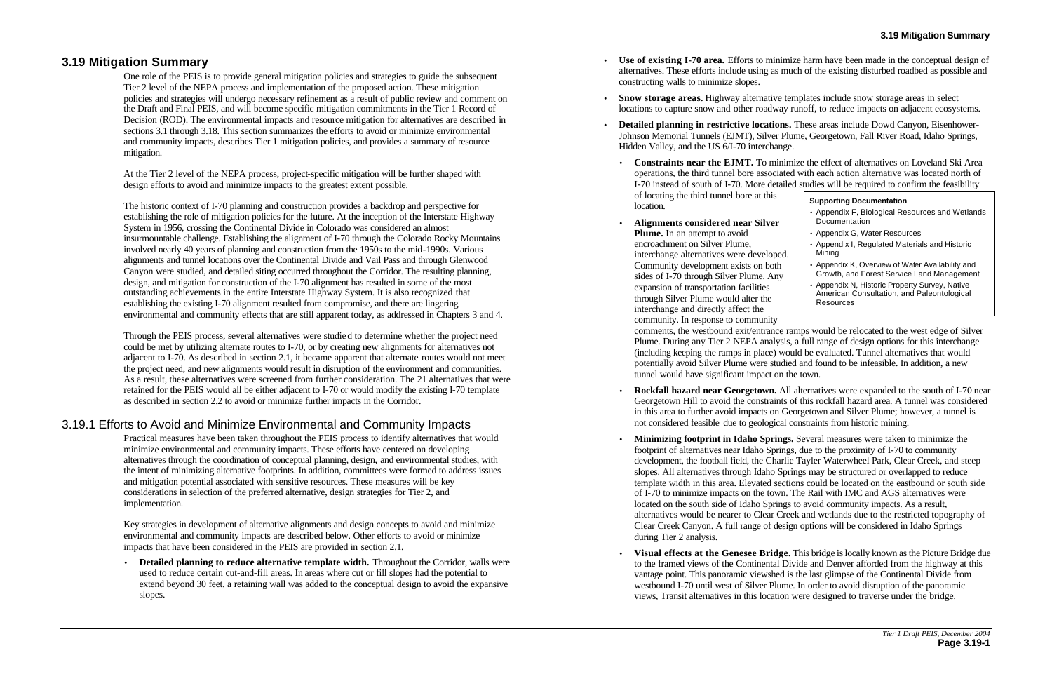## **3.19 Mitigation Summary**

One role of the PEIS is to provide general mitigation policies and strategies to guide the subsequent Tier 2 level of the NEPA process and implementation of the proposed action. These mitigation policies and strategies will undergo necessary refinement as a result of public review and comment on the Draft and Final PEIS, and will become specific mitigation commitments in the Tier 1 Record of Decision (ROD). The environmental impacts and resource mitigation for alternatives are described in sections 3.1 through 3.18. This section summarizes the efforts to avoid or minimize environmental and community impacts, describes Tier 1 mitigation policies, and provides a summary of resource mitigation.

At the Tier 2 level of the NEPA process, project-specific mitigation will be further shaped with design efforts to avoid and minimize impacts to the greatest extent possible.

The historic context of I-70 planning and construction provides a backdrop and perspective for establishing the role of mitigation policies for the future. At the inception of the Interstate Highway System in 1956, crossing the Continental Divide in Colorado was considered an almost insurmountable challenge. Establishing the alignment of I-70 through the Colorado Rocky Mountains involved nearly 40 years of planning and construction from the 1950s to the mid-1990s. Various alignments and tunnel locations over the Continental Divide and Vail Pass and through Glenwood Canyon were studied, and detailed siting occurred throughout the Corridor. The resulting planning, design, and mitigation for construction of the I-70 alignment has resulted in some of the most outstanding achievements in the entire Interstate Highway System. It is also recognized that establishing the existing I-70 alignment resulted from compromise, and there are lingering environmental and community effects that are still apparent today, as addressed in Chapters 3 and 4.

Through the PEIS process, several alternatives were studied to determine whether the project need could be met by utilizing alternate routes to I-70, or by creating new alignments for alternatives not adjacent to I-70. As described in section 2.1, it became apparent that alternate routes would not meet the project need, and new alignments would result in disruption of the environment and communities. As a result, these alternatives were screened from further consideration. The 21 alternatives that were retained for the PEIS would all be either adjacent to I-70 or would modify the existing I-70 template as described in section 2.2 to avoid or minimize further impacts in the Corridor.

# 3.19.1 Efforts to Avoid and Minimize Environmental and Community Impacts

Practical measures have been taken throughout the PEIS process to identify alternatives that would minimize environmental and community impacts. These efforts have centered on developing alternatives through the coordination of conceptual planning, design, and environmental studies, with the intent of minimizing alternative footprints. In addition, committees were formed to address issues and mitigation potential associated with sensitive resources. These measures will be key considerations in selection of the preferred alternative, design strategies for Tier 2, and implementation.

Key strategies in development of alternative alignments and design concepts to avoid and minimize environmental and community impacts are described below. Other efforts to avoid or minimize impacts that have been considered in the PEIS are provided in section 2.1.

• **Detailed planning to reduce alternative template width.** Throughout the Corridor, walls were used to reduce certain cut-and-fill areas. In areas where cut or fill slopes had the potential to extend beyond 30 feet, a retaining wall was added to the conceptual design to avoid the expansive slopes.

• **Use of existing I-70 area.** Efforts to minimize harm have been made in the conceptual design of alternatives. These efforts include using as much of the existing disturbed roadbed as possible and

• **Snow storage areas.** Highway alternative templates include snow storage areas in select locations to capture snow and other roadway runoff, to reduce impacts on adjacent ecosystems.

• **Detailed planning in restrictive locations.** These areas include Dowd Canyon, Eisenhower-Johnson Memorial Tunnels (EJMT), Silver Plume, Georgetown, Fall River Road, Idaho Springs,

• **Constraints near the EJMT.** To minimize the effect of alternatives on Loveland Ski Area operations, the third tunnel bore associated with each action alternative was located north of I-70 instead of south of I-70. More detailed studies will be required to confirm the feasibility

comments, the westbound exit/entrance ramps would be relocated to the west edge of Silver Plume. During any Tier 2 NEPA analysis, a full range of design options for this interchange (including keeping the ramps in place) would be evaluated. Tunnel alternatives that would potentially avoid Silver Plume were studied and found to be infeasible. In addition, a new

- constructing walls to minimize slopes.
- 
- Hidden Valley, and the US 6/I-70 interchange.
	- of locating the third tunnel bore at this location.
	- **Alignments considered near Silver Plume.** In an attempt to avoid encroachment on Silver Plume, interchange alternatives were develop Community development exists on bo sides of I-70 through Silver Plume. An expansion of transportation facilities through Silver Plume would alter the interchange and directly affect the community. In response to community tunnel would have significant impact on the town.
	- not considered feasible due to geological constraints from historic mining.
	- during Tier 2 analysis.
	-

• **Rockfall hazard near Georgetown.** All alternatives were expanded to the south of I-70 near Georgetown Hill to avoid the constraints of this rockfall hazard area. A tunnel was considered in this area to further avoid impacts on Georgetown and Silver Plume; however, a tunnel is

• **Minimizing footprint in Idaho Springs.** Several measures were taken to minimize the footprint of alternatives near Idaho Springs, due to the proximity of I-70 to community development, the football field, the Charlie Tayler Waterwheel Park, Clear Creek, and steep slopes. All alternatives through Idaho Springs may be structured or overlapped to reduce template width in this area. Elevated sections could be located on the eastbound or south side of I-70 to minimize impacts on the town. The Rail with IMC and AGS alternatives were located on the south side of Idaho Springs to avoid community impacts. As a result, alternatives would be nearer to Clear Creek and wetlands due to the restricted topography of Clear Creek Canyon. A full range of design options will be considered in Idaho Springs

• **Visual effects at the Genesee Bridge.** This bridge is locally known as the Picture Bridge due to the framed views of the Continental Divide and Denver afforded from the highway at this vantage point. This panoramic viewshed is the last glimpse of the Continental Divide from westbound I-70 until west of Silver Plume. In order to avoid disruption of the panoramic views, Transit alternatives in this location were designed to traverse under the bridge.

| S         | <b>Supporting Documentation</b>                                                                           |
|-----------|-----------------------------------------------------------------------------------------------------------|
| Pr.       | • Appendix F, Biological Resources and Wetlands<br>Documentation                                          |
|           | • Appendix G, Water Resources                                                                             |
| ped.      | • Appendix I, Regulated Materials and Historic<br>Mining                                                  |
| ıth<br>ny | • Appendix K, Overview of Water Availability and<br>Growth, and Forest Service Land Management            |
|           | • Appendix N, Historic Property Survey, Native<br>American Consultation, and Paleontological<br>Resources |
| ۲T        |                                                                                                           |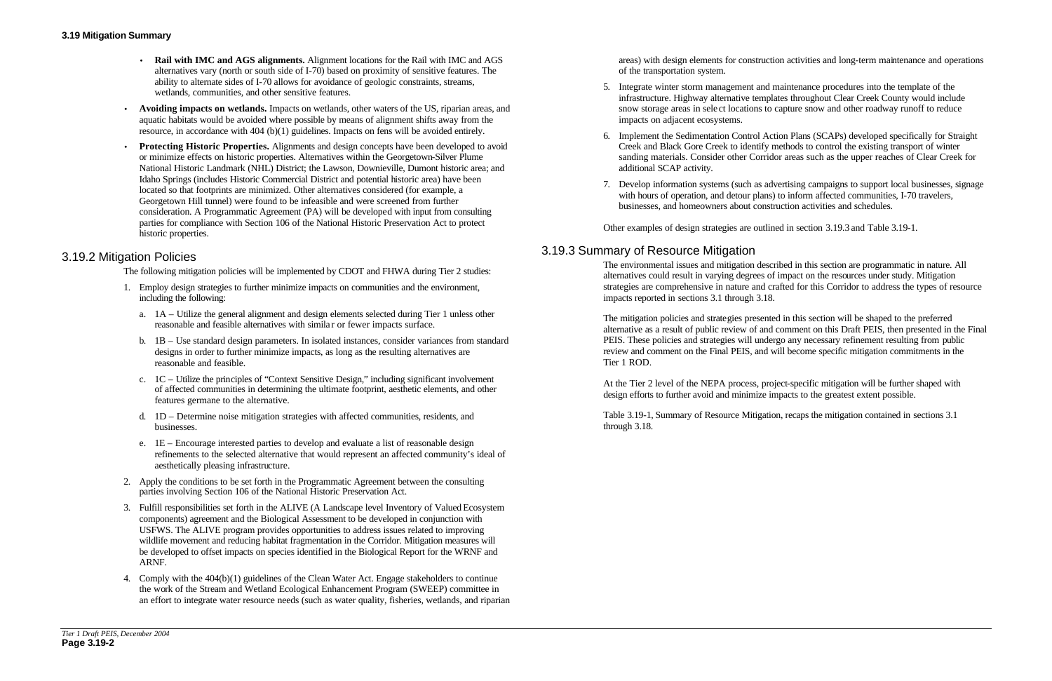- **Rail with IMC and AGS alignments.** Alignment locations for the Rail with IMC and AGS alternatives vary (north or south side of I-70) based on proximity of sensitive features. The ability to alternate sides of I-70 allows for avoidance of geologic constraints, streams, wetlands, communities, and other sensitive features.
- **Avoiding impacts on wetlands.** Impacts on wetlands, other waters of the US, riparian areas, and aquatic habitats would be avoided where possible by means of alignment shifts away from the resource, in accordance with 404 (b)(1) guidelines. Impacts on fens will be avoided entirely.
- **Protecting Historic Properties.** Alignments and design concepts have been developed to avoid or minimize effects on historic properties. Alternatives within the Georgetown-Silver Plume National Historic Landmark (NHL) District; the Lawson, Downieville, Dumont historic area; and Idaho Springs (includes Historic Commercial District and potential historic area) have been located so that footprints are minimized. Other alternatives considered (for example, a Georgetown Hill tunnel) were found to be infeasible and were screened from further consideration. A Programmatic Agreement (PA) will be developed with input from consulting parties for compliance with Section 106 of the National Historic Preservation Act to protect historic properties.

## 3.19.2 Mitigation Policies

The following mitigation policies will be implemented by CDOT and FHWA during Tier 2 studies:

7. Develop information systems (such as advertising campaigns to support local businesses, signage with hours of operation, and detour plans) to inform affected communities, I-70 travelers,

- 1. Employ design strategies to further minimize impacts on communities and the environment, including the following:
	- a. 1A Utilize the general alignment and design elements selected during Tier 1 unless other reasonable and feasible alternatives with simila r or fewer impacts surface.
	- b. 1B Use standard design parameters. In isolated instances, consider variances from standard designs in order to further minimize impacts, as long as the resulting alternatives are reasonable and feasible.
	- c. 1C Utilize the principles of "Context Sensitive Design," including significant involvement of affected communities in determining the ultimate footprint, aesthetic elements, and other features germane to the alternative.
	- d. 1D Determine noise mitigation strategies with affected communities, residents, and businesses.
	- e. 1E Encourage interested parties to develop and evaluate a list of reasonable design refinements to the selected alternative that would represent an affected community's ideal of aesthetically pleasing infrastructure.
- 2. Apply the conditions to be set forth in the Programmatic Agreement between the consulting parties involving Section 106 of the National Historic Preservation Act.
- 3. Fulfill responsibilities set forth in the ALIVE (A Landscape level Inventory of Valued Ecosystem components) agreement and the Biological Assessment to be developed in conjunction with USFWS. The ALIVE program provides opportunities to address issues related to improving wildlife movement and reducing habitat fragmentation in the Corridor. Mitigation measures will be developed to offset impacts on species identified in the Biological Report for the WRNF and ARNF.
- 4. Comply with the 404(b)(1) guidelines of the Clean Water Act. Engage stakeholders to continue the work of the Stream and Wetland Ecological Enhancement Program (SWEEP) committee in an effort to integrate water resource needs (such as water quality, fisheries, wetlands, and riparian

areas) with design elements for construction activities and long-term maintenance and operations of the transportation system.

5. Integrate winter storm management and maintenance procedures into the template of the infrastructure. Highway alternative templates throughout Clear Creek County would include snow storage areas in sele ct locations to capture snow and other roadway runoff to reduce

6. Implement the Sedimentation Control Action Plans (SCAPs) developed specifically for Straight Creek and Black Gore Creek to identify methods to control the existing transport of winter sanding materials. Consider other Corridor areas such as the upper reaches of Clear Creek for

- impacts on adjacent ecosystems.
- additional SCAP activity.
- businesses, and homeowners about construction activities and schedules.

Other examples of design strategies are outlined in section 3.19.3 and Table 3.19-1.

# 3.19.3 Summary of Resource Mitigation

The environmental issues and mitigation described in this section are programmatic in nature. All alternatives could result in varying degrees of impact on the resources under study. Mitigation strategies are comprehensive in nature and crafted for this Corridor to address the types of resource impacts reported in sections 3.1 through 3.18.

The mitigation policies and strategies presented in this section will be shaped to the preferred alternative as a result of public review of and comment on this Draft PEIS, then presented in the Final PEIS. These policies and strategies will undergo any necessary refinement resulting from public review and comment on the Final PEIS, and will become specific mitigation commitments in the Tier 1 ROD.

At the Tier 2 level of the NEPA process, project-specific mitigation will be further shaped with design efforts to further avoid and minimize impacts to the greatest extent possible.

Table 3.19-1, Summary of Resource Mitigation, recaps the mitigation contained in sections 3.1 through 3.18.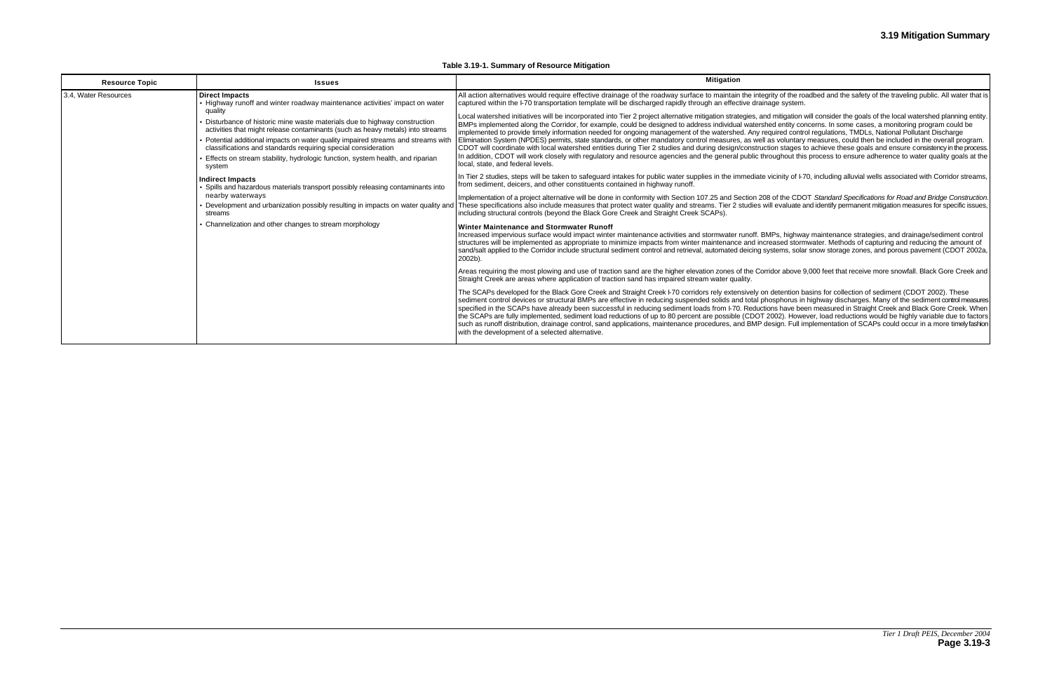#### **Table 3.19-1. Summary of Resource Mitigation**

| <b>Resource Topic</b> | <b>Issues</b>                                                                                                                                                                                                                                                                                                                                                                                                                                                                                                                                                                                                                                                                                                             | <b>Mitigation</b>                                                                                                                                                                                                                                                                                                                                                                                                                                                                                                                                                                                                                                                                                                                                                                                                                                                                                                                                                                                                                                                                                                                                                                                                                                                                                                                                                                                                                                                                                                                                                                                                                                                                                                                                                                                                                                                                                                                                                                                                                                                                                                                                                                                                                                                                                                                                                                                                          |
|-----------------------|---------------------------------------------------------------------------------------------------------------------------------------------------------------------------------------------------------------------------------------------------------------------------------------------------------------------------------------------------------------------------------------------------------------------------------------------------------------------------------------------------------------------------------------------------------------------------------------------------------------------------------------------------------------------------------------------------------------------------|----------------------------------------------------------------------------------------------------------------------------------------------------------------------------------------------------------------------------------------------------------------------------------------------------------------------------------------------------------------------------------------------------------------------------------------------------------------------------------------------------------------------------------------------------------------------------------------------------------------------------------------------------------------------------------------------------------------------------------------------------------------------------------------------------------------------------------------------------------------------------------------------------------------------------------------------------------------------------------------------------------------------------------------------------------------------------------------------------------------------------------------------------------------------------------------------------------------------------------------------------------------------------------------------------------------------------------------------------------------------------------------------------------------------------------------------------------------------------------------------------------------------------------------------------------------------------------------------------------------------------------------------------------------------------------------------------------------------------------------------------------------------------------------------------------------------------------------------------------------------------------------------------------------------------------------------------------------------------------------------------------------------------------------------------------------------------------------------------------------------------------------------------------------------------------------------------------------------------------------------------------------------------------------------------------------------------------------------------------------------------------------------------------------------------|
| 3.4, Water Resources  | <b>Direct Impacts</b><br>• Highway runoff and winter roadway maintenance activities' impact on water<br>quality<br>Disturbance of historic mine waste materials due to highway construction<br>activities that might release contaminants (such as heavy metals) into streams<br>Potential additional impacts on water quality impaired streams and streams with<br>classifications and standards requiring special consideration<br>Effects on stream stability, hydrologic function, system health, and riparian<br>system<br>Indirect Impacts<br>Spills and hazardous materials transport possibly releasing contaminants into<br>nearby waterways<br>streams<br>Channelization and other changes to stream morphology | All action alternatives would require effective drainage of the roadway surface to maintain the integrity of the roadbed and the safety of the traveling public. All water that is<br>captured within the I-70 transportation template will be discharged rapidly through an effective drainage system.<br>Local watershed initiatives will be incorporated into Tier 2 project alternative mitigation strategies, and mitigation will consider the goals of the local watershed planning entity.<br>BMPs implemented along the Corridor, for example, could be designed to address individual watershed entity concerns. In some cases, a monitoring program could be<br>implemented to provide timely information needed for ongoing management of the watershed. Any required control regulations, TMDLs, National Pollutant Discharge<br>Elimination System (NPDES) permits, state standards, or other mandatory control measures, as well as voluntary measures, could then be included in the overall program.<br>CDOT will coordinate with local watershed entities during Tier 2 studies and during design/construction stages to achieve these goals and ensure consistency in the process.<br>In addition, CDOT will work closely with regulatory and resource agencies and the general public throughout this process to ensure adherence to water quality goals at the<br>local, state, and federal levels.<br>In Tier 2 studies, steps will be taken to safeguard intakes for public water supplies in the immediate vicinity of I-70, including alluvial wells associated with Corridor streams,<br>from sediment, deicers, and other constituents contained in highway runoff.<br>Implementation of a project alternative will be done in conformity with Section 107.25 and Section 208 of the CDOT Standard Specifications for Road and Bridge Construction.<br>Development and urbanization possibly resulting in impacts on water quality and   These specifications also include measures that protect water quality and streams. Tier 2 studies will evaluate and identify permanent mitig<br>including structural controls (beyond the Black Gore Creek and Straight Creek SCAPs).<br>Winter Maintenance and Stormwater Runoff<br>Increased impervious surface would impact winter maintenance activities and stormwater runoff. BMPs, highway maintenance strategies, and drainage/sediment control |
|                       |                                                                                                                                                                                                                                                                                                                                                                                                                                                                                                                                                                                                                                                                                                                           | structures will be implemented as appropriate to minimize impacts from winter maintenance and increased stormwater. Methods of capturing and reducing the amount of<br>sand/salt applied to the Corridor include structural sediment control and retrieval, automated deicing systems, solar snow storage zones, and porous pavement (CDOT 2002a,<br>2002b).<br>Areas requiring the most plowing and use of traction sand are the higher elevation zones of the Corridor above 9,000 feet that receive more snowfall. Black Gore Creek and<br>Straight Creek are areas where application of traction sand has impaired stream water quality.<br>The SCAPs developed for the Black Gore Creek and Straight Creek I-70 corridors rely extensively on detention basins for collection of sediment (CDOT 2002). These<br>sediment control devices or structural BMPs are effective in reducing suspended solids and total phosphorus in highway discharges. Many of the sediment control measures<br>specified in the SCAPs have already been successful in reducing sediment loads from I-70. Reductions have been measured in Straight Creek and Black Gore Creek. When<br>the SCAPs are fully implemented, sediment load reductions of up to 80 percent are possible (CDOT 2002). However, load reductions would be highly variable due to factors<br>such as runoff distribution, drainage control, sand applications, maintenance procedures, and BMP design. Full implementation of SCAPs could occur in a more timely fashion<br>with the development of a selected alternative.                                                                                                                                                                                                                                                                                                                                                                                                                                                                                                                                                                                                                                                                                                                                                                                                                                        |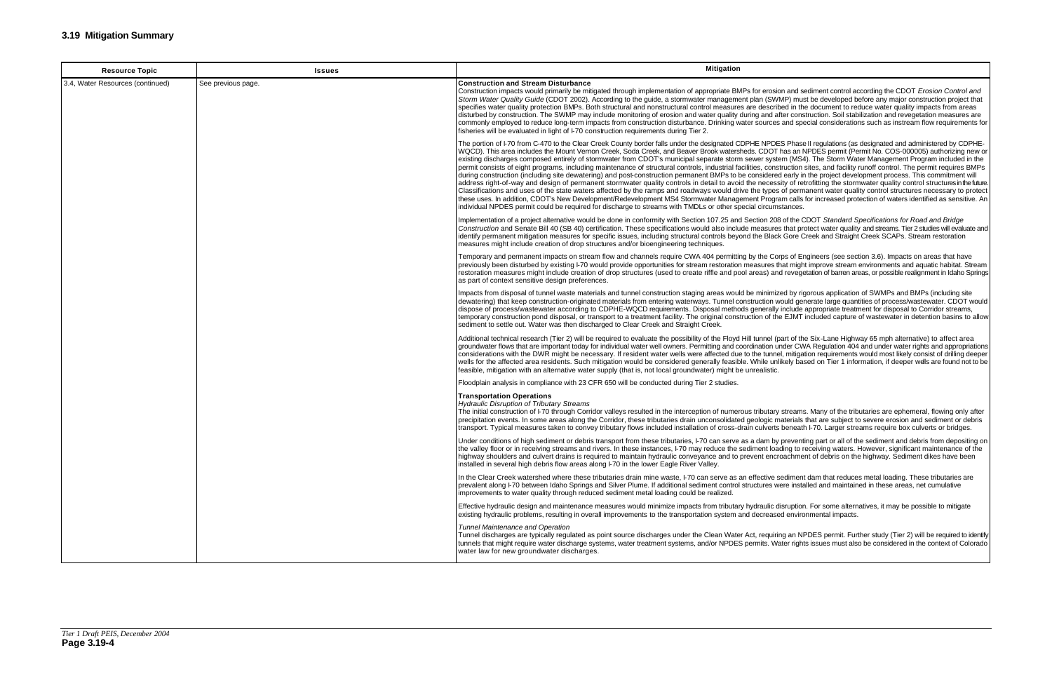| <b>Resource Topic</b>            | <b>Issues</b>      | <b>Mitigation</b>                                                                                                                                                                                                                                                                                                                                                                                                                                                                                                                                                                                                                                                                                                                                                                                                                                                                                                                                                                                                                                                                                                                                                                                                                                                                                                                                                                                                                                                                                                                  |
|----------------------------------|--------------------|------------------------------------------------------------------------------------------------------------------------------------------------------------------------------------------------------------------------------------------------------------------------------------------------------------------------------------------------------------------------------------------------------------------------------------------------------------------------------------------------------------------------------------------------------------------------------------------------------------------------------------------------------------------------------------------------------------------------------------------------------------------------------------------------------------------------------------------------------------------------------------------------------------------------------------------------------------------------------------------------------------------------------------------------------------------------------------------------------------------------------------------------------------------------------------------------------------------------------------------------------------------------------------------------------------------------------------------------------------------------------------------------------------------------------------------------------------------------------------------------------------------------------------|
| 3.4, Water Resources (continued) | See previous page. | <b>Construction and Stream Disturbance</b><br>Construction impacts would primarily be mitigated through implementation of appropriate BMPs for erosion and sediment control according the CDOT Erosion Control and<br>Storm Water Quality Guide (CDOT 2002). According to the guide, a stormwater management plan (SWMP) must be developed before any major construction project that<br>specifies water quality protection BMPs. Both structural and nonstructural control measures are described in the document to reduce water quality impacts from areas<br>disturbed by construction. The SWMP may include monitoring of erosion and water quality during and after construction. Soil stabilization and revegetation measures are<br>commonly employed to reduce long-term impacts from construction disturbance. Drinking water sources and special considerations such as instream flow requirements for<br>fisheries will be evaluated in light of I-70 construction requirements during Tier 2.                                                                                                                                                                                                                                                                                                                                                                                                                                                                                                                         |
|                                  |                    | The portion of I-70 from C-470 to the Clear Creek County border falls under the designated CDPHE NPDES Phase II regulations (as designated and administered by CDPHE-<br>WQCD). This area includes the Mount Vernon Creek, Soda Creek, and Beaver Brook watersheds. CDOT has an NPDES permit (Permit No. COS-000005) authorizing new or<br>existing discharges composed entirely of stormwater from CDOT's municipal separate storm sewer system (MS4). The Storm Water Management Program included in the<br>permit consists of eight programs, including maintenance of structural controls, industrial facilities, construction sites, and facility runoff control. The permit requires BMPs<br>during construction (including site dewatering) and post-construction permanent BMPs to be considered early in the project development process. This commitment will<br>address right-of-way and design of permanent stormwater quality controls in detail to avoid the necessity of retrofitting the stormwater quality control structures in the future.<br>Classifications and uses of the state waters affected by the ramps and roadways would drive the types of permanent water quality control structures necessary to protect<br>these uses. In addition, CDOT's New Development/Redevelopment MS4 Stormwater Management Program calls for increased protection of waters identified as sensitive. An<br>individual NPDES permit could be required for discharge to streams with TMDLs or other special circumstances. |
|                                  |                    | Implementation of a project alternative would be done in conformity with Section 107.25 and Section 208 of the CDOT Standard Specifications for Road and Bridge<br>Construction and Senate Bill 40 (SB 40) certification. These specifications would also include measures that protect water quality and streams. Tier 2 studies will evaluate and<br>identify permanent mitigation measures for specific issues, including structural controls beyond the Black Gore Creek and Straight Creek SCAPs. Stream restoration<br>measures might include creation of drop structures and/or bioengineering techniques.                                                                                                                                                                                                                                                                                                                                                                                                                                                                                                                                                                                                                                                                                                                                                                                                                                                                                                                  |
|                                  |                    | Temporary and permanent impacts on stream flow and channels require CWA 404 permitting by the Corps of Engineers (see section 3.6). Impacts on areas that have<br>previously been disturbed by existing I-70 would provide opportunities for stream restoration measures that might improve stream environments and aquatic habitat. Stream<br>restoration measures might include creation of drop structures (used to create riffle and pool areas) and revegetation of barren areas, or possible realignment in Idaho Springs<br>as part of context sensitive design preferences.                                                                                                                                                                                                                                                                                                                                                                                                                                                                                                                                                                                                                                                                                                                                                                                                                                                                                                                                                |
|                                  |                    | Impacts from disposal of tunnel waste materials and tunnel construction staging areas would be minimized by rigorous application of SWMPs and BMPs (including site<br>dewatering) that keep construction-originated materials from entering waterways. Tunnel construction would generate large quantities of process/wastewater. CDOT would<br>dispose of process/wastewater according to CDPHE-WQCD requirements. Disposal methods generally include appropriate treatment for disposal to Corridor streams,<br>temporary construction pond disposal, or transport to a treatment facility. The original construction of the EJMT included capture of wastewater in detention basins to allow<br>sediment to settle out. Water was then discharged to Clear Creek and Straight Creek.                                                                                                                                                                                                                                                                                                                                                                                                                                                                                                                                                                                                                                                                                                                                            |
|                                  |                    | Additional technical research (Tier 2) will be required to evaluate the possibility of the Floyd Hill tunnel (part of the Six-Lane Highway 65 mph alternative) to affect area<br>groundwater flows that are important today for individual water well owners. Permitting and coordination under CWA Regulation 404 and under water rights and appropriations<br>considerations with the DWR might be necessary. If resident water wells were affected due to the tunnel, mitigation requirements would most likely consist of drilling deeper<br>wells for the affected area residents. Such mitigation would be considered generally feasible. While unlikely based on Tier 1 information, if deeper wells are found not to be<br>feasible, mitigation with an alternative water supply (that is, not local groundwater) might be unrealistic.                                                                                                                                                                                                                                                                                                                                                                                                                                                                                                                                                                                                                                                                                    |
|                                  |                    | Floodplain analysis in compliance with 23 CFR 650 will be conducted during Tier 2 studies.                                                                                                                                                                                                                                                                                                                                                                                                                                                                                                                                                                                                                                                                                                                                                                                                                                                                                                                                                                                                                                                                                                                                                                                                                                                                                                                                                                                                                                         |
|                                  |                    | <b>Transportation Operations</b><br><b>Hydraulic Disruption of Tributary Streams</b><br>The initial construction of I-70 through Corridor valleys resulted in the interception of numerous tributary streams. Many of the tributaries are ephemeral, flowing only after<br>precipitation events. In some areas along the Corridor, these tributaries drain unconsolidated geologic materials that are subject to severe erosion and sediment or debris<br>transport. Typical measures taken to convey tributary flows included installation of cross-drain culverts beneath I-70. Larger streams require box culverts or bridges.                                                                                                                                                                                                                                                                                                                                                                                                                                                                                                                                                                                                                                                                                                                                                                                                                                                                                                  |
|                                  |                    | Under conditions of high sediment or debris transport from these tributaries, I-70 can serve as a dam by preventing part or all of the sediment and debris from depositing on<br>the valley floor or in receiving streams and rivers. In these instances, F70 may reduce the sediment loading to receiving waters. However, significant maintenance of the<br>highway shoulders and culvert drains is required to maintain hydraulic conveyance and to prevent encroachment of debris on the highway. Sediment dikes have been<br>installed in several high debris flow areas along I-70 in the lower Eagle River Valley.                                                                                                                                                                                                                                                                                                                                                                                                                                                                                                                                                                                                                                                                                                                                                                                                                                                                                                          |
|                                  |                    | In the Clear Creek watershed where these tributaries drain mine waste, I-70 can serve as an effective sediment dam that reduces metal loading. These tributaries are<br>prevalent along I-70 between Idaho Springs and Silver Plume. If additional sediment control structures were installed and maintained in these areas, net cumulative<br>improvements to water quality through reduced sediment metal loading could be realized.                                                                                                                                                                                                                                                                                                                                                                                                                                                                                                                                                                                                                                                                                                                                                                                                                                                                                                                                                                                                                                                                                             |
|                                  |                    | Effective hydraulic design and maintenance measures would minimize impacts from tributary hydraulic disruption. For some alternatives, it may be possible to mitigate<br>existing hydraulic problems, resulting in overall improvements to the transportation system and decreased environmental impacts.                                                                                                                                                                                                                                                                                                                                                                                                                                                                                                                                                                                                                                                                                                                                                                                                                                                                                                                                                                                                                                                                                                                                                                                                                          |
|                                  |                    | <b>Tunnel Maintenance and Operation</b><br>Tunnel discharges are typically regulated as point source discharges under the Clean Water Act, requiring an NPDES permit. Further study (Tier 2) will be required to identify<br>tunnels that might require water discharge systems, water treatment systems, and/or NPDES permits. Water rights issues must also be considered in the context of Colorado<br>water law for new groundwater discharges.                                                                                                                                                                                                                                                                                                                                                                                                                                                                                                                                                                                                                                                                                                                                                                                                                                                                                                                                                                                                                                                                                |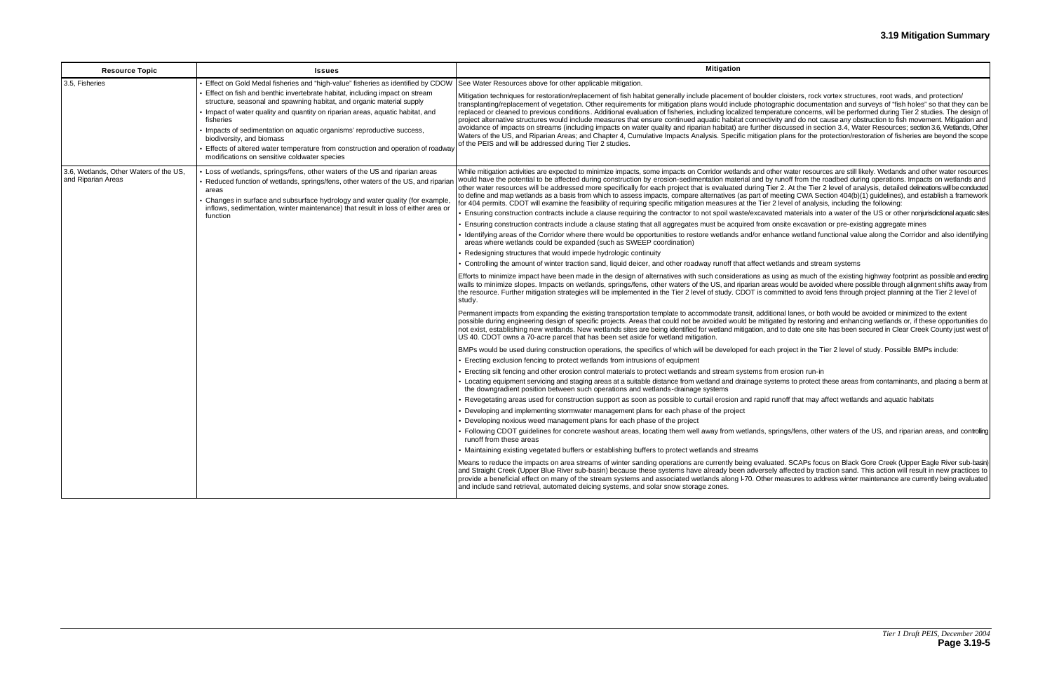er cloisters, rock vortex structures, root wads, and protection/ graphic documentation and surveys of "fish holes" so that they can be prature concerns, will be performed during Tier 2 studies. The design of vity and do not cause any obstruction to fish movement. Mitigation and do discussed in section 3.4, Water Resources; section 3.6, Wetlands, Other on plans for the protection/restoration of fisheries are beyond the scope

her water resources are still likely. Wetlands and other water resources runoff from the roadbed during operations. Impacts on wetlands and ier 2. At the Tier 2 level of analysis, detailed delineations will be conducted neeting CWA Section 404(b)(1) guidelines), and establish a framework 2 level of analysis, including the following:

ted materials into a water of the US or other nonjurisdictional aquatic sites onsite excavation or pre-existing aggregate mines

ance wetland functional value along the Corridor and also identifying

etlands and stream systems

using as much of the existing highway footprint as possible and erecting as would be avoided where possible through alignment shifts away from mmitted to avoid fens through project planning at the Tier 2 level of

onal lanes, or both would be avoided or minimized to the extent ated by restoring and enhancing wetlands or, if these opportunities do nd to date one site has been secured in Clear Creek County just west of

project in the Tier 2 level of study. Possible BMPs include:

m erosion run-in stems to protect these areas from contaminants, and placing a berm at

runoff that may affect wetlands and aquatic habitats

erings/fens, other waters of the US, and riparian areas, and controlling

ated. SCAPs focus on Black Gore Creek (Upper Eagle River sub-basin) ly affected by traction sand. This action will result in new practices to measures to address winter maintenance are currently being evaluated

| <b>Resource Topic</b>                                        | <b>Issues</b>                                                                                                                                                                                                                                                                                                                                                                                                                                                                             | <b>Mitigation</b>                                                                                                                                                                                                                                                                                                                                                                                                                                                                                                                                                                                                                                                                                                                                                                                                                                                                                                                                                                                                                                                                                                                                                                                                                                                                                                                                                                                                                                                                                                                                                                                                                                                                                                                                                                                                                                                                                                                                                                                                                                                                                                                                                                                                                                                                                                                                                                                                                                                                                                                                                                                                                                                                                                                                                                                                                                                                                                                                                                                                                                                                                                                                                                                                                                                                                                                |
|--------------------------------------------------------------|-------------------------------------------------------------------------------------------------------------------------------------------------------------------------------------------------------------------------------------------------------------------------------------------------------------------------------------------------------------------------------------------------------------------------------------------------------------------------------------------|----------------------------------------------------------------------------------------------------------------------------------------------------------------------------------------------------------------------------------------------------------------------------------------------------------------------------------------------------------------------------------------------------------------------------------------------------------------------------------------------------------------------------------------------------------------------------------------------------------------------------------------------------------------------------------------------------------------------------------------------------------------------------------------------------------------------------------------------------------------------------------------------------------------------------------------------------------------------------------------------------------------------------------------------------------------------------------------------------------------------------------------------------------------------------------------------------------------------------------------------------------------------------------------------------------------------------------------------------------------------------------------------------------------------------------------------------------------------------------------------------------------------------------------------------------------------------------------------------------------------------------------------------------------------------------------------------------------------------------------------------------------------------------------------------------------------------------------------------------------------------------------------------------------------------------------------------------------------------------------------------------------------------------------------------------------------------------------------------------------------------------------------------------------------------------------------------------------------------------------------------------------------------------------------------------------------------------------------------------------------------------------------------------------------------------------------------------------------------------------------------------------------------------------------------------------------------------------------------------------------------------------------------------------------------------------------------------------------------------------------------------------------------------------------------------------------------------------------------------------------------------------------------------------------------------------------------------------------------------------------------------------------------------------------------------------------------------------------------------------------------------------------------------------------------------------------------------------------------------------------------------------------------------------------------------------------------------|
| 3.5, Fisheries                                               | Effect on Gold Medal fisheries and "high-value" fisheries as identified by CDOW                                                                                                                                                                                                                                                                                                                                                                                                           | See Water Resources above for other applicable mitigation.                                                                                                                                                                                                                                                                                                                                                                                                                                                                                                                                                                                                                                                                                                                                                                                                                                                                                                                                                                                                                                                                                                                                                                                                                                                                                                                                                                                                                                                                                                                                                                                                                                                                                                                                                                                                                                                                                                                                                                                                                                                                                                                                                                                                                                                                                                                                                                                                                                                                                                                                                                                                                                                                                                                                                                                                                                                                                                                                                                                                                                                                                                                                                                                                                                                                       |
|                                                              | Effect on fish and benthic invertebrate habitat, including impact on stream<br>structure, seasonal and spawning habitat, and organic material supply<br>Impact of water quality and quantity on riparian areas, aquatic habitat, and<br>fisheries<br>Impacts of sedimentation on aquatic organisms' reproductive success,<br>biodiversity, and biomass<br>Effects of altered water temperature from construction and operation of roadway<br>modifications on sensitive coldwater species | Mitigation techniques for restoration/replacement of fish habitat generally include placement of boulde<br>transplanting/replacement of vegetation. Other requirements for mitigation plans would include photog<br>replaced or cleaned to previous conditions. Additional evaluation of fisheries, including localized tempe<br>project alternative structures would include measures that ensure continued aquatic habitat connective<br>avoidance of impacts on streams (including impacts on water quality and riparian habitat) are further<br>Waters of the US, and Riparian Areas; and Chapter 4, Cumulative Impacts Analysis. Specific mitigatio<br>of the PEIS and will be addressed during Tier 2 studies.                                                                                                                                                                                                                                                                                                                                                                                                                                                                                                                                                                                                                                                                                                                                                                                                                                                                                                                                                                                                                                                                                                                                                                                                                                                                                                                                                                                                                                                                                                                                                                                                                                                                                                                                                                                                                                                                                                                                                                                                                                                                                                                                                                                                                                                                                                                                                                                                                                                                                                                                                                                                             |
| 3.6, Wetlands, Other Waters of the US,<br>and Riparian Areas | Loss of wetlands, springs/fens, other waters of the US and riparian areas<br>Reduced function of wetlands, springs/fens, other waters of the US, and ripariar<br>areas<br>Changes in surface and subsurface hydrology and water quality (for example,<br>inflows, sedimentation, winter maintenance) that result in loss of either area or<br>function                                                                                                                                    | While mitigation activities are expected to minimize impacts, some impacts on Corridor wetlands and otl<br>would have the potential to be affected during construction by erosion-sedimentation material and by<br>other water resources will be addressed more specifically for each project that is evaluated during Tie<br>to define and map wetlands as a basis from which to assess impacts, compare alternatives (as part of n<br>for 404 permits. CDOT will examine the feasibility of requiring specific mitigation measures at the Tier 2<br>Ensuring construction contracts include a clause requiring the contractor to not spoil waste/excavat<br>Ensuring construction contracts include a clause stating that all aggregates must be acquired from $\alpha$<br>Identifying areas of the Corridor where there would be opportunities to restore wetlands and/or enh<br>areas where wetlands could be expanded (such as SWEEP coordination)<br>• Redesigning structures that would impede hydrologic continuity<br>Controlling the amount of winter traction sand, liquid deicer, and other roadway runoff that affect we<br>Efforts to minimize impact have been made in the design of alternatives with such considerations as u<br>walls to minimize slopes. Impacts on wetlands, springs/fens, other waters of the US, and riparian area<br>the resource. Further mitigation strategies will be implemented in the Tier 2 level of study. CDOT is cor<br>study.<br>Permanent impacts from expanding the existing transportation template to accommodate transit, additionally<br>possible during engineering design of specific projects. Areas that could not be avoided would be mitig.<br>not exist, establishing new wetlands. New wetlands sites are being identified for wetland mitigation, an<br>US 40. CDOT owns a 70-acre parcel that has been set aside for wetland mitigation.<br>BMPs would be used during construction operations, the specifics of which will be developed for each<br>• Erecting exclusion fencing to protect wetlands from intrusions of equipment<br>Erecting silt fencing and other erosion control materials to protect wetlands and stream systems from<br>Locating equipment servicing and staging areas at a suitable distance from wetland and drainage sys<br>the downgradient position between such operations and wetlands-drainage systems<br>Revegetating areas used for construction support as soon as possible to curtail erosion and rapid r<br>• Developing and implementing stormwater management plans for each phase of the project<br>Developing noxious weed management plans for each phase of the project<br>• Following CDOT guidelines for concrete washout areas, locating them well away from wetlands, sp<br>runoff from these areas<br>• Maintaining existing vegetated buffers or establishing buffers to protect wetlands and streams<br>Means to reduce the impacts on area streams of winter sanding operations are currently being evalua<br>and Straight Creek (Upper Blue River sub-basin) because these systems have already been adversel<br>provide a beneficial effect on many of the stream systems and associated wetlands along I-70. Other<br>and include sand retrieval, automated deicing systems, and solar snow storage zones. |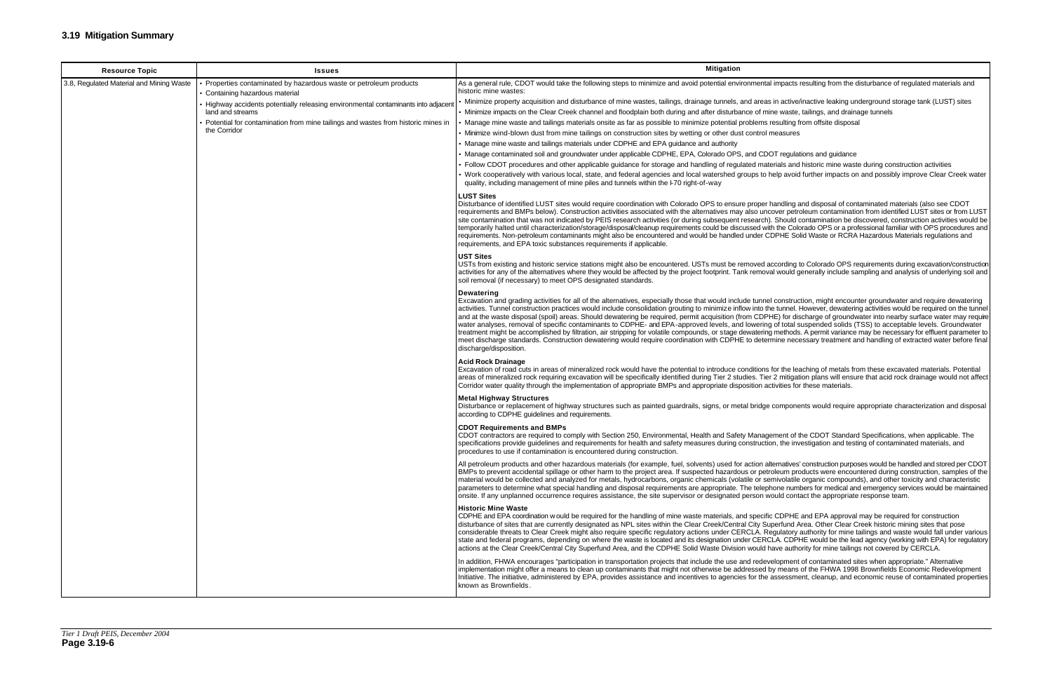impacts resulting from the disturbance of regulated materials and in active/inactive leaking underground storage tank (LUST) sites e waste, tailings, and drainage tunnels esulting from offsite disposal  $DT$  regulations and guidance rials and historic mine waste during construction activities elp avoid further impacts on and possibly improve Clear Creek water andling and disposal of contaminated materials (also see CDOT over petroleum contamination from identified LUST sites or from LUST Should contamination be discovered, construction activities would be the Colorado OPS or a professional familiar with OPS procedures and PHE Solid Waste or RCRA Hazardous Materials regulations and cording to Colorado OPS requirements during excavation/construction I would generally include sampling and analysis of underlying soil and construction, might encounter groundwater and require dewatering tunnel. However, dewatering activities would be required on the tunnel. IE) for discharge of groundwater into nearby surface water may require nine necessary treatment and handling of extracted water before final for the leaching of metals from these excavated materials. Potential 2 mitigation plans will ensure that acid rock drainage would not affect tivities for these materials. components would require appropriate characterization and disposal ment of the CDOT Standard Specifications, when applicable. The on, the investigation and testing of contaminated materials, and ernatives' construction purposes would be handled and stored per CDOT bleum products were encountered during construction, samples of the nivolatile organic compounds), and other toxicity and characteristic one numbers for medical and emergency services would be maintained ould contact the appropriate response team. CDPHE and EPA approval may be required for construction erfund Area. Other Clear Creek historic mining sites that pose gulatory authority for mine tailings and waste would fall under various LA. CDPHE would be the lead agency (working with EPA) for regulatory ave authority for mine tailings not covered by CERCLA. Iopment of contaminated sites when appropriate." Alternative  $\mu$  means of the FHWA 1998 Brownfields Economic Redevelopment  $\tilde{s}$  issessment, cleanup, and economic reuse of contaminated properties

| <b>Resource Topic</b>                    | <b>Issues</b>                                                                                    | <b>Mitigation</b>                                                                                                                                                                                                                                                                                                                                                                                                                                                                                                                                                                                                                                                                                                                                                                                                                                                                                                                                                                                                                                                                                                             |
|------------------------------------------|--------------------------------------------------------------------------------------------------|-------------------------------------------------------------------------------------------------------------------------------------------------------------------------------------------------------------------------------------------------------------------------------------------------------------------------------------------------------------------------------------------------------------------------------------------------------------------------------------------------------------------------------------------------------------------------------------------------------------------------------------------------------------------------------------------------------------------------------------------------------------------------------------------------------------------------------------------------------------------------------------------------------------------------------------------------------------------------------------------------------------------------------------------------------------------------------------------------------------------------------|
| 3.8, Regulated Material and Mining Waste | Properties contaminated by hazardous waste or petroleum products                                 | As a general rule, CDOT would take the following steps to minimize and avoid potential environmental impacts resulting from the disturbance of regulated materials and                                                                                                                                                                                                                                                                                                                                                                                                                                                                                                                                                                                                                                                                                                                                                                                                                                                                                                                                                        |
|                                          | Containing hazardous material                                                                    | historic mine wastes:                                                                                                                                                                                                                                                                                                                                                                                                                                                                                                                                                                                                                                                                                                                                                                                                                                                                                                                                                                                                                                                                                                         |
|                                          | Highway accidents potentially releasing environmental contaminants into adjacent                 | Minimize property acquisition and disturbance of mine wastes, tailings, drainage tunnels, and areas in active/inactive leaking underground storage tank (LUST) sites                                                                                                                                                                                                                                                                                                                                                                                                                                                                                                                                                                                                                                                                                                                                                                                                                                                                                                                                                          |
|                                          | land and streams                                                                                 | • Minimize impacts on the Clear Creek channel and floodplain both during and after disturbance of mine waste, tailings, and drainage tunnels                                                                                                                                                                                                                                                                                                                                                                                                                                                                                                                                                                                                                                                                                                                                                                                                                                                                                                                                                                                  |
|                                          | Potential for contamination from mine tailings and wastes from historic mines in<br>the Corridor | Manage mine waste and tailings materials onsite as far as possible to minimize potential problems resulting from offsite disposal<br>• Minimize wind-blown dust from mine tailings on construction sites by wetting or other dust control measures                                                                                                                                                                                                                                                                                                                                                                                                                                                                                                                                                                                                                                                                                                                                                                                                                                                                            |
|                                          |                                                                                                  | • Manage mine waste and tailings materials under CDPHE and EPA guidance and authority                                                                                                                                                                                                                                                                                                                                                                                                                                                                                                                                                                                                                                                                                                                                                                                                                                                                                                                                                                                                                                         |
|                                          |                                                                                                  | • Manage contaminated soil and groundwater under applicable CDPHE, EPA, Colorado OPS, and CDOT regulations and guidance                                                                                                                                                                                                                                                                                                                                                                                                                                                                                                                                                                                                                                                                                                                                                                                                                                                                                                                                                                                                       |
|                                          |                                                                                                  | • Follow CDOT procedures and other applicable guidance for storage and handling of regulated materials and historic mine waste during construction activities                                                                                                                                                                                                                                                                                                                                                                                                                                                                                                                                                                                                                                                                                                                                                                                                                                                                                                                                                                 |
|                                          |                                                                                                  | Vork cooperatively with various local, state, and federal agencies and local watershed groups to help avoid further impacts on and possibly improve Clear Creek water<br>quality, including management of mine piles and tunnels within the I-70 right-of-way                                                                                                                                                                                                                                                                                                                                                                                                                                                                                                                                                                                                                                                                                                                                                                                                                                                                 |
|                                          |                                                                                                  | <b>LUST Sites</b><br>Disturbance of identified LUST sites would require coordination with Colorado OPS to ensure proper handling and disposal of contaminated materials (also see CDOT<br>requirements and BMPs below). Construction activities associated with the alternatives may also uncover petroleum contamination from identified LUST sites or from LUST<br>site contamination that was not indicated by PEIS research activities (or during subsequent research). Should contamination be discovered, construction activities would be<br>temporarily halted until characterization/storage/disposal/cleanup requirements could be discussed with the Colorado OPS or a professional familiar with OPS procedures and<br>requirements. Non-petroleum contaminants might also be encountered and would be handled under CDPHE Solid Waste or RCRA Hazardous Materials regulations and<br>requirements, and EPA toxic substances requirements if applicable.                                                                                                                                                          |
|                                          |                                                                                                  | <b>UST Sites</b><br>USTs from existing and historic service stations might also be encountered. USTs must be removed according to Colorado OPS requirements during excavation/construction<br>activities for any of the alternatives where they would be affected by the project footprint. Tank removal would generally include sampling and analysis of underlying soil and<br>soil removal (if necessary) to meet OPS designated standards.                                                                                                                                                                                                                                                                                                                                                                                                                                                                                                                                                                                                                                                                                |
|                                          |                                                                                                  | <b>Dewatering</b><br>Excavation and grading activities for all of the alternatives, especially those that would include tunnel construction, might encounter groundwater and require dewatering<br>activities. Tunnel construction practices would include consolidation grouting to minimize inflow into the tunnel. However, dewatering activities would be required on the tunnel<br>and at the waste disposal (spoil) areas. Should dewatering be required, permit acquisition (from CDPHE) for discharge of groundwater into nearby surface water may require<br>water analyses, removal of specific contaminants to CDPHE- and EPA-approved levels, and lowering of total suspended solids (TSS) to acceptable levels. Groundwater<br>treatment might be accomplished by filtration, air stripping for volatile compounds, or stage dewatering methods. A permit variance may be necessary for effluent parameter to<br>meet discharge standards. Construction dewatering would require coordination with CDPHE to determine necessary treatment and handling of extracted water before final<br>discharge/disposition. |
|                                          |                                                                                                  | <b>Acid Rock Drainage</b><br>Excavation of road cuts in areas of mineralized rock would have the potential to introduce conditions for the leaching of metals from these excavated materials. Potential<br>areas of mineralized rock requiring excavation will be specifically identified during Tier 2 studies. Tier 2 mitigation plans will ensure that acid rock drainage would not affect<br>Corridor water quality through the implementation of appropriate BMPs and appropriate disposition activities for these materials.                                                                                                                                                                                                                                                                                                                                                                                                                                                                                                                                                                                            |
|                                          |                                                                                                  | <b>Metal Highway Structures</b><br>Disturbance or replacement of highway structures such as painted guardrails, signs, or metal bridge components would require appropriate characterization and disposal<br>according to CDPHE guidelines and requirements.                                                                                                                                                                                                                                                                                                                                                                                                                                                                                                                                                                                                                                                                                                                                                                                                                                                                  |
|                                          |                                                                                                  | <b>CDOT Requirements and BMPs</b><br>CDOT contractors are required to comply with Section 250, Environmental, Health and Safety Management of the CDOT Standard Specifications, when applicable. The<br>specifications provide quidelines and requirements for health and safety measures during construction, the investigation and testing of contaminated materials, and<br>procedures to use if contamination is encountered during construction.                                                                                                                                                                                                                                                                                                                                                                                                                                                                                                                                                                                                                                                                         |
|                                          |                                                                                                  | All petroleum products and other hazardous materials (for example, fuel, solvents) used for action alternatives' construction purposes would be handled and stored per CDOT<br>BMPs to prevent accidental spillage or other harm to the project area. If suspected hazardous or petroleum products were encountered during construction, samples of the<br>material would be collected and analyzed for metals, hydrocarbons, organic chemicals (volatile or semivolatile organic compounds), and other toxicity and characteristic<br>parameters to determine what special handling and disposal requirements are appropriate. The telephone numbers for medical and emergency services would be maintained<br>onsite. If any unplanned occurrence requires assistance, the site supervisor or designated person would contact the appropriate response team.                                                                                                                                                                                                                                                                |
|                                          |                                                                                                  | <b>Historic Mine Waste</b><br>CDPHE and EPA coordination w ould be required for the handling of mine waste materials, and specific CDPHE and EPA approval may be required for construction<br>disturbance of sites that are currently designated as NPL sites within the Clear Creek/Central City Superfund Area. Other Clear Creek historic mining sites that pose<br>considerable threats to Clear Creek might also require specific regulatory actions under CERCLA. Regulatory authority for mine tailings and waste would fall under various<br>state and federal programs, depending on where the waste is located and its designation under CERCLA. CDPHE would be the lead agency (working with EPA) for regulatory<br>actions at the Clear Creek/Central City Superfund Area, and the CDPHE Solid Waste Division would have authority for mine tailings not covered by CERCLA.                                                                                                                                                                                                                                       |
|                                          |                                                                                                  | In addition, FHWA encourages "participation in transportation projects that include the use and redevelopment of contaminated sites when appropriate." Alternative<br>implementation might offer a means to clean up contaminants that might not otherwise be addressed by means of the FHWA 1998 Brownfields Economic Redevelopment<br>Initiative. The initiative, administered by EPA, provides assistance and incentives to agencies for the assessment, cleanup, and economic reuse of contaminated properties<br>known as Brownfields.                                                                                                                                                                                                                                                                                                                                                                                                                                                                                                                                                                                   |